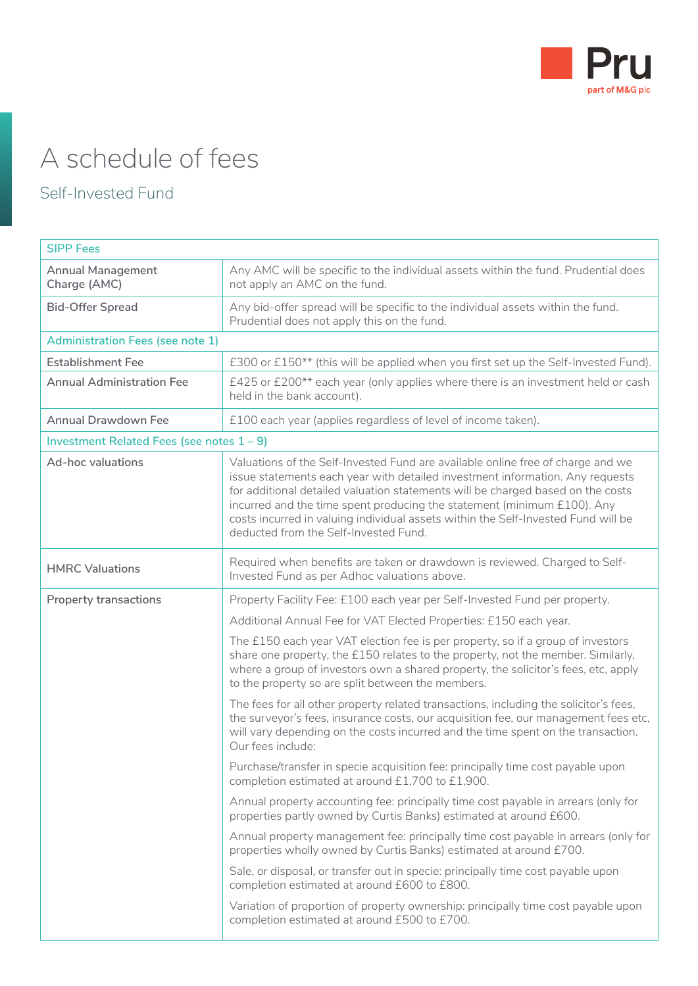

# A schedule of fees

## Self-Invested Fund

| <b>SIPP Fees</b>                             |                                                                                                                                                                                                                                                                                                                                                                                                                                                              |
|----------------------------------------------|--------------------------------------------------------------------------------------------------------------------------------------------------------------------------------------------------------------------------------------------------------------------------------------------------------------------------------------------------------------------------------------------------------------------------------------------------------------|
| <b>Annual Management</b><br>Charge (AMC)     | Any AMC will be specific to the individual assets within the fund. Prudential does<br>not apply an AMC on the fund.                                                                                                                                                                                                                                                                                                                                          |
| <b>Bid-Offer Spread</b>                      | Any bid-offer spread will be specific to the individual assets within the fund.<br>Prudential does not apply this on the fund.                                                                                                                                                                                                                                                                                                                               |
| <b>Administration Fees (see note 1)</b>      |                                                                                                                                                                                                                                                                                                                                                                                                                                                              |
| <b>Establishment Fee</b>                     | £300 or £150** (this will be applied when you first set up the Self-Invested Fund).                                                                                                                                                                                                                                                                                                                                                                          |
| <b>Annual Administration Fee</b>             | £425 or £200** each year (only applies where there is an investment held or cash<br>held in the bank account).                                                                                                                                                                                                                                                                                                                                               |
| <b>Annual Drawdown Fee</b>                   | £100 each year (applies regardless of level of income taken).                                                                                                                                                                                                                                                                                                                                                                                                |
| Investment Related Fees (see notes $1 - 9$ ) |                                                                                                                                                                                                                                                                                                                                                                                                                                                              |
| Ad-hoc valuations                            | Valuations of the Self-Invested Fund are available online free of charge and we<br>issue statements each year with detailed investment information. Any requests<br>for additional detailed valuation statements will be charged based on the costs<br>incurred and the time spent producing the statement (minimum £100). Any<br>costs incurred in valuing individual assets within the Self-Invested Fund will be<br>deducted from the Self-Invested Fund. |
| <b>HMRC Valuations</b>                       | Required when benefits are taken or drawdown is reviewed. Charged to Self-<br>Invested Fund as per Adhoc valuations above.                                                                                                                                                                                                                                                                                                                                   |
| <b>Property transactions</b>                 | Property Facility Fee: £100 each year per Self-Invested Fund per property.                                                                                                                                                                                                                                                                                                                                                                                   |
|                                              | Additional Annual Fee for VAT Elected Properties: £150 each year.                                                                                                                                                                                                                                                                                                                                                                                            |
|                                              | The £150 each year VAT election fee is per property, so if a group of investors<br>share one property, the £150 relates to the property, not the member. Similarly,<br>where a group of investors own a shared property, the solicitor's fees, etc, apply<br>to the property so are split between the members.                                                                                                                                               |
|                                              | The fees for all other property related transactions, including the solicitor's fees,<br>the surveyor's fees, insurance costs, our acquisition fee, our management fees etc,<br>will vary depending on the costs incurred and the time spent on the transaction.<br>Our fees include:                                                                                                                                                                        |
|                                              | Purchase/transfer in specie acquisition fee: principally time cost payable upon<br>completion estimated at around £1,700 to £1,900.                                                                                                                                                                                                                                                                                                                          |
|                                              | Annual property accounting fee: principally time cost payable in arrears (only for<br>properties partly owned by Curtis Banks) estimated at around £600.                                                                                                                                                                                                                                                                                                     |
|                                              | Annual property management fee: principally time cost payable in arrears (only for<br>properties wholly owned by Curtis Banks) estimated at around £700.                                                                                                                                                                                                                                                                                                     |
|                                              | Sale, or disposal, or transfer out in specie: principally time cost payable upon<br>completion estimated at around £600 to £800.                                                                                                                                                                                                                                                                                                                             |
|                                              | Variation of proportion of property ownership: principally time cost payable upon<br>completion estimated at around £500 to £700.                                                                                                                                                                                                                                                                                                                            |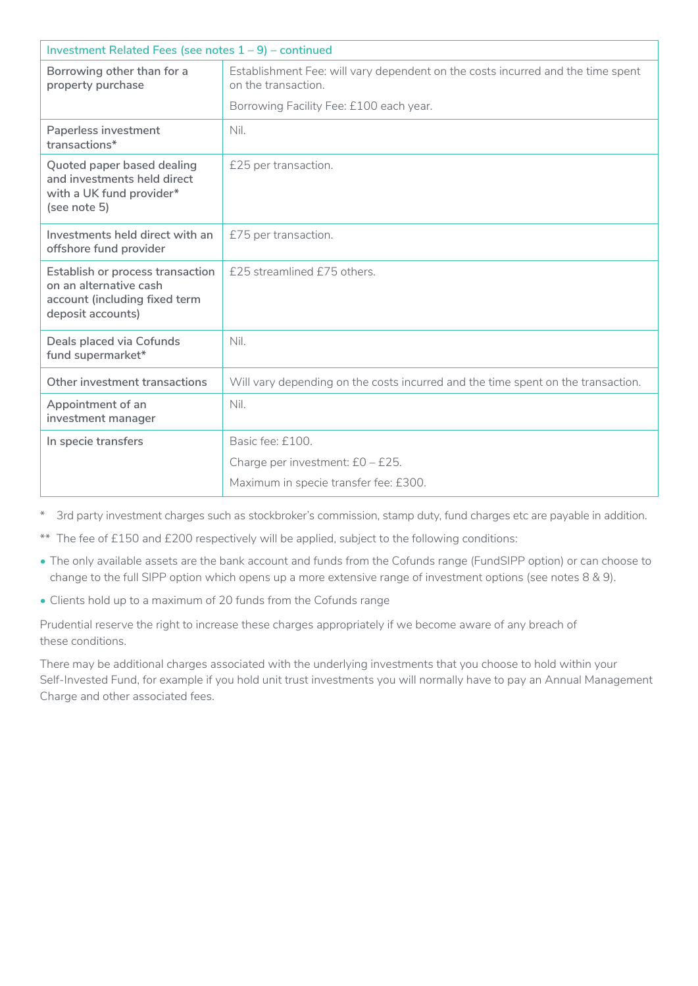| Investment Related Fees (see notes $1 - 9$ ) – continued                                                         |                                                                                                        |
|------------------------------------------------------------------------------------------------------------------|--------------------------------------------------------------------------------------------------------|
| Borrowing other than for a<br>property purchase                                                                  | Establishment Fee: will vary dependent on the costs incurred and the time spent<br>on the transaction. |
|                                                                                                                  | Borrowing Facility Fee: £100 each year.                                                                |
| Paperless investment<br>transactions*                                                                            | Nil.                                                                                                   |
| Quoted paper based dealing<br>and investments held direct<br>with a UK fund provider*<br>(see note 5)            | £25 per transaction.                                                                                   |
| Investments held direct with an<br>offshore fund provider                                                        | £75 per transaction.                                                                                   |
| Establish or process transaction<br>on an alternative cash<br>account (including fixed term<br>deposit accounts) | £25 streamlined £75 others.                                                                            |
| Deals placed via Cofunds<br>fund supermarket*                                                                    | Nil.                                                                                                   |
| Other investment transactions                                                                                    | Will vary depending on the costs incurred and the time spent on the transaction.                       |
| Appointment of an<br>investment manager                                                                          | Nil.                                                                                                   |
| In specie transfers                                                                                              | Basic fee: £100.                                                                                       |
|                                                                                                                  | Charge per investment: £0 - £25.                                                                       |
|                                                                                                                  | Maximum in specie transfer fee: £300.                                                                  |

\* 3rd party investment charges such as stockbroker's commission, stamp duty, fund charges etc are payable in addition.

\*\* The fee of £150 and £200 respectively will be applied, subject to the following conditions:

- The only available assets are the bank account and funds from the Cofunds range (FundSIPP option) or can choose to change to the full SIPP option which opens up a more extensive range of investment options (see notes 8 & 9).
- Clients hold up to a maximum of 20 funds from the Cofunds range

Prudential reserve the right to increase these charges appropriately if we become aware of any breach of these conditions.

There may be additional charges associated with the underlying investments that you choose to hold within your Self-Invested Fund, for example if you hold unit trust investments you will normally have to pay an Annual Management Charge and other associated fees.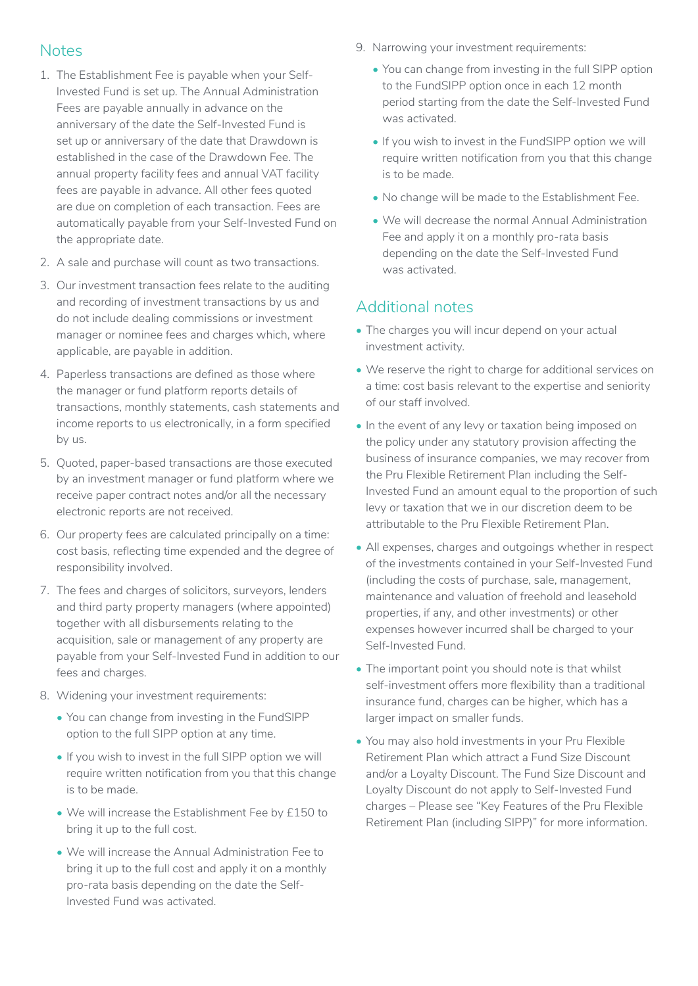#### **Notes**

- 1. The Establishment Fee is payable when your Self-Invested Fund is set up. The Annual Administration Fees are payable annually in advance on the anniversary of the date the Self-Invested Fund is set up or anniversary of the date that Drawdown is established in the case of the Drawdown Fee. The annual property facility fees and annual VAT facility fees are payable in advance. All other fees quoted are due on completion of each transaction. Fees are automatically payable from your Self-Invested Fund on the appropriate date.
- 2. A sale and purchase will count as two transactions.
- 3. Our investment transaction fees relate to the auditing and recording of investment transactions by us and do not include dealing commissions or investment manager or nominee fees and charges which, where applicable, are payable in addition.
- 4. Paperless transactions are defined as those where the manager or fund platform reports details of transactions, monthly statements, cash statements and income reports to us electronically, in a form specified by us.
- 5. Quoted, paper-based transactions are those executed by an investment manager or fund platform where we receive paper contract notes and/or all the necessary electronic reports are not received.
- 6. Our property fees are calculated principally on a time: cost basis, reflecting time expended and the degree of responsibility involved.
- 7. The fees and charges of solicitors, surveyors, lenders and third party property managers (where appointed) together with all disbursements relating to the acquisition, sale or management of any property are payable from your Self-Invested Fund in addition to our fees and charges.
- 8. Widening your investment requirements:
	- You can change from investing in the FundSIPP option to the full SIPP option at any time.
	- If you wish to invest in the full SIPP option we will require written notification from you that this change is to be made.
	- We will increase the Establishment Fee by £150 to bring it up to the full cost.
	- We will increase the Annual Administration Fee to bring it up to the full cost and apply it on a monthly pro-rata basis depending on the date the Self-Invested Fund was activated.
- 9. Narrowing your investment requirements:
	- You can change from investing in the full SIPP option to the FundSIPP option once in each 12 month period starting from the date the Self-Invested Fund was activated.
	- If you wish to invest in the FundSIPP option we will require written notification from you that this change is to be made.
	- No change will be made to the Establishment Fee.
	- We will decrease the normal Annual Administration Fee and apply it on a monthly pro-rata basis depending on the date the Self-Invested Fund was activated.

### Additional notes

- The charges you will incur depend on your actual investment activity.
- We reserve the right to charge for additional services on a time: cost basis relevant to the expertise and seniority of our staff involved.
- In the event of any levy or taxation being imposed on the policy under any statutory provision affecting the business of insurance companies, we may recover from the Pru Flexible Retirement Plan including the Self-Invested Fund an amount equal to the proportion of such levy or taxation that we in our discretion deem to be attributable to the Pru Flexible Retirement Plan.
- All expenses, charges and outgoings whether in respect of the investments contained in your Self-Invested Fund (including the costs of purchase, sale, management, maintenance and valuation of freehold and leasehold properties, if any, and other investments) or other expenses however incurred shall be charged to your Self-Invested Fund.
- The important point you should note is that whilst self-investment offers more flexibility than a traditional insurance fund, charges can be higher, which has a larger impact on smaller funds.
- You may also hold investments in your Pru Flexible Retirement Plan which attract a Fund Size Discount and/or a Loyalty Discount. The Fund Size Discount and Loyalty Discount do not apply to Self-Invested Fund charges – Please see "Key Features of the Pru Flexible Retirement Plan (including SIPP)" for more information.